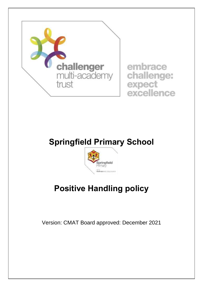

## **Springfield Primary School**



# **Positive Handling policy**

Version: CMAT Board approved: December 2021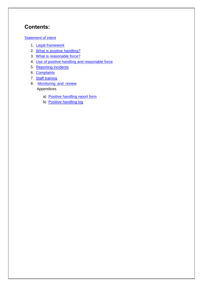## **Contents:**

## Statement of intent

- 1. Legal framework
- 2. What is positive handling?
- 3. What is reasonable force?
- 4. Use of positive handling and reasonable force
- 5. Reporting incidents
- 6. Complaints
- 7. Staff training
- 8. Monitoring and review Appendices
	- a) Positive handling report form
	- b) Positive handling log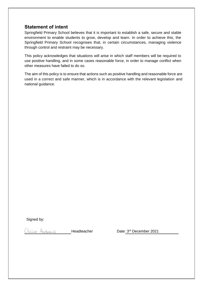## **Statement of intent**

Springfield Primary School believes that it is important to establish a safe, secure and stable environment to enable students to grow, develop and learn. In order to achieve this, the Springfield Primary School recognises that, in certain circumstances, managing violence through control and restraint may be necessary.

This policy acknowledges that situations will arise in which staff members will be required to use positive handling, and in some cases reasonable force, in order to manage conflict when other measures have failed to do so.

The aim of this policy is to ensure that actions such as positive handling and reasonable force are used in a correct and safe manner, which is in accordance with the relevant legislation and national guidance.

Signed by:

Claire Andrews

Headteacher

Date: 3rd December 2021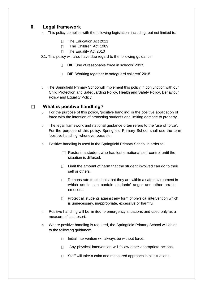## **0. Legal framework**

- $\circ$  This policy complies with the following legislation, including, but not limited to:
	- $\Box$  The Education Act 2011
	- The Children Act 1989
	- □ The Equality Act 2010

### 0.1. This policy will also have due regard to the following guidance:

- □ DfE 'Use of reasonable force in schools' 2013
- $\Box$  DfE 'Working together to safeguard children' 2015
- $\circ$  The Springfield Primary Schoolwill implement this policy in conjunction with our Child Protection and Safeguarding Policy, Health and Safety Policy, Behaviour Policy and Equality Policy.

#### **What is positive handling?**  $\Box$

- o For the purpose of this policy, 'positive handling' is the positive application of force with the intention of protecting students and limiting damage to property.
- o The legal framework and national guidance often refers to the 'use of force'. For the purpose of this policy, Springfield Primary School shall use the term 'positive handling' whenever possible.
- o Positive handling is used in the Springfield Primary School in order to:
	- $\Box$  Restrain a student who has lost emotional self-control until the situation is diffused.
	- $\Box$  Limit the amount of harm that the student involved can do to their self or others.
	- $\Box$  Demonstrate to students that they are within a safe environment in which adults can contain students' anger and other erratic emotions.
	- $\Box$  Protect all students against any form of physical intervention which is unnecessary, inappropriate, excessive or harmful.
- o Positive handling will be limited to emergency situations and used only as a measure of last resort.
- o Where positive handling is required, the Springfield Primary School will abide to the following guidance:
	- $\Box$  Initial intervention will always be without force.
	- □ Any physical intervention will follow other appropriate actions.
	- $\Box$  Staff will take a calm and measured approach in all situations.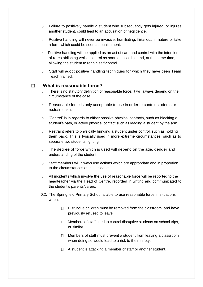- o Failure to positively handle a student who subsequently gets injured, or injures another student, could lead to an accusation of negligence.
- $\circ$  Positive handling will never be invasive, humiliating, flirtatious in nature or take a form which could be seen as punishment.
- $\circ$  Positive handling will be applied as an act of care and control with the intention of re-establishing verbal control as soon as possible and, at the same time, allowing the student to regain self-control.
- $\circ$  Staff will adopt positive handling techniques for which they have been Team Teach trained.

#### **What is reasonable force?**  $\Box$

- $\circ$  There is no statutory definition of reasonable force; it will always depend on the circumstance of the case.
- o Reasonable force is only acceptable to use in order to control students or restrain them.
- o 'Control' is in regards to either passive physical contacts, such as blocking a student's path, or active physical contact such as leading a student by the arm.
- $\circ$  Restraint refers to physically bringing a student under control, such as holding them back. This is typically used in more extreme circumstances, such as to separate two students fighting.
- $\circ$  The degree of force which is used will depend on the age, gender and understanding of the student.
- o Staff members will always use actions which are appropriate and in proportion to the circumstances of the incidents.
- $\circ$  All incidents which involve the use of reasonable force will be reported to the headteacher via the Head of Centre, recorded in writing and communicated to the student's parents/carers.
- 0.2. The Springfield Primary School is able to use reasonable force in situations when:
	- $\Box$  Disruptive children must be removed from the classroom, and have previously refused to leave.
	- $\Box$  Members of staff need to control disruptive students on school trips, or similar.
	- $\Box$  Members of staff must prevent a student from leaving a classroom when doing so would lead to a risk to their safety.
	- $\Box$  A student is attacking a member of staff or another student.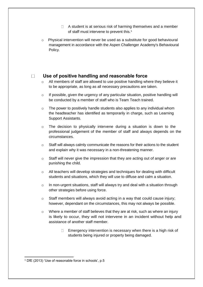- $\Box$  A student is at serious risk of harming themselves and a member of staff must intervene to prevent this.<sup>1</sup>
- $\circ$  Physical intervention will never be used as a substitute for good behavioural management in accordance with the Aspen Challenger Academy's Behavioural Policy.

#### $\Box$ **Use of positive handling and reasonable force**

- $\circ$  All members of staff are allowed to use positive handling where they believe it to be appropriate, as long as all necessary precautions are taken.
- o If possible, given the urgency of any particular situation, positive handling will be conducted by a member of staff who is Team Teach trained.
- $\circ$  The power to positively handle students also applies to any individual whom the headteacher has identified as temporarily in charge, such as Learning Support Assistants.
- $\circ$  The decision to physically intervene during a situation is down to the professional judgement of the member of staff and always depends on the circumstances.
- $\circ$  Staff will always calmly communicate the reasons for their actions to the student and explain why it was necessary in a non-threatening manner.
- o Staff will never give the impression that they are acting out of anger or are punishing the child.
- $\circ$  All teachers will develop strategies and techniques for dealing with difficult students and situations, which they will use to diffuse and calm a situation.
- o In non-urgent situations, staff will always try and deal with a situation through other strategies before using force.
- o Staff members will always avoid acting in a way that could cause injury; however, dependant on the circumstances, this may not always be possible.
- o Where a member of staff believes that they are at risk, such as where an injury is likely to occur, they will not intervene in an incident without help and assistance of another staff member.
	- $\Box$  Emergency intervention is necessary when there is a high risk of students being injured or property being damaged.

<sup>1</sup> DfE (2013) 'Use of reasonable force in schools', p.5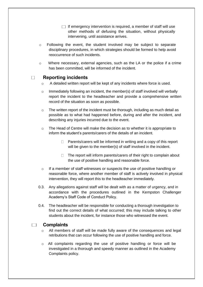- $\Box$  If emergency intervention is required, a member of staff will use other methods of defusing the situation, without physically intervening, until assistance arrives.
- $\circ$  Following the event, the student involved may be subject to separate disciplinary procedures, in which strategies should be formed to help avoid reoccurrence of such incidents.
- o Where necessary, external agencies, such as the LA or the police if a crime has been committed, will be informed of the incident.

#### $\Box$ **Reporting incidents**

- $\circ$  A detailed written report will be kept of any incidents where force is used.
- $\circ$  Immediately following an incident, the member(s) of staff involved will verbally report the incident to the headteacher and provide a comprehensive written record of the situation as soon as possible.
- $\circ$  The written report of the incident must be thorough, including as much detail as possible as to what had happened before, during and after the incident, and describing any injuries incurred due to the event.
- $\circ$  The Head of Centre will make the decision as to whether it is appropriate to inform the student's parents/carers of the details of an incident.
	- $\Box$  Parents/carers will be informed in writing and a copy of this report will be given to the member(s) of staff involved in the incident.
	- $\Box$  The report will inform parents/carers of their right to complain about the use of positive handling and reasonable force.
- o If a member of staff witnesses or suspects the use of positive handling or reasonable force, where another member of staff is actively involved in physical intervention, they will report this to the headteacher immediately.
- 0.3. Any allegations against staff will be dealt with as a matter of urgency, and in accordance with the procedures outlined in the Kempston Challenger Academy's Staff Code of Conduct Policy.
- 0.4. The headteacher will be responsible for conducting a thorough investigation to find out the correct details of what occurred; this may include talking to other students about the incident, for instance those who witnessed the event.

#### **Complaints**  $\mathcal{L}^{\text{max}}$

- All members of staff will be made fully aware of the consequences and legal retributions that can occur following the use of positive handling and force.
- $\circ$  All complaints regarding the use of positive handling or force will be investigated in a thorough and speedy manner as outlined in the Academy Complaints policy.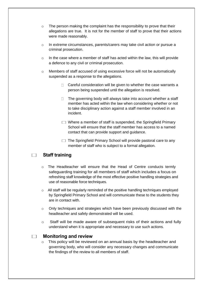- $\circ$  The person making the complaint has the responsibility to prove that their allegations are true. It is not for the member of staff to prove that their actions were made reasonably.
- o In extreme circumstances, parents/carers may take civil action or pursue a criminal prosecution.
- $\circ$  In the case where a member of staff has acted within the law, this will provide a defence to any civil or criminal prosecution.
- o Members of staff accused of using excessive force will not be automatically suspended as a response to the allegations.
	- $\Box$  Careful consideration will be given to whether the case warrants a person being suspended until the allegation is resolved.
	- $\Box$  The governing body will always take into account whether a staff member has acted within the law when considering whether or not to take disciplinary action against a staff member involved in an incident.
	- $\Box$  Where a member of staff is suspended, the Springfield Primary School will ensure that the staff member has access to a named contact that can provide support and guidance.
	- $\Box$  The Springfield Primary School will provide pastoral care to any member of staff who is subject to a formal allegation.

#### **Staff training**  $\mathcal{L}(\mathcal{A})$

- $\circ$  The Headteacher will ensure that the Head of Centre conducts termly safeguarding training for all members of staff which includes a focus on refreshing staff knowledge of the most effective positive handling strategies and use of reasonable force techniques.
- $\circ$  All staff will be regularly reminded of the positive handling techniques employed by Springfield Primary School and will communicate these to the students they are in contact with.
- $\circ$  Only techniques and strategies which have been previously discussed with the headteacher and safely demonstrated will be used.
- $\circ$  Staff will be made aware of subsequent risks of their actions and fully understand when it is appropriate and necessary to use such actions.

### **Monitoring and review**

 $\Box$ 

 $\circ$  This policy will be reviewed on an annual basis by the headteacher and governing body, who will consider any necessary changes and communicate the findings of the review to all members of staff.